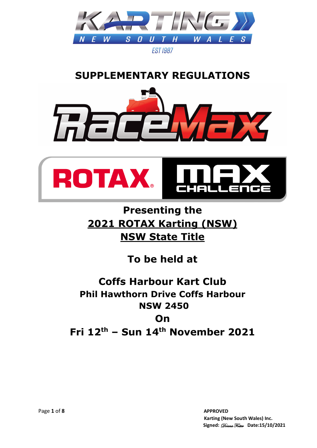

## **SUPPLEMENTARY REGULATIONS**





# **Presenting the 2021 ROTAX Karting (NSW) NSW State Title**

# **To be held at**

# **Coffs Harbour Kart Club Phil Hawthorn Drive Coffs Harbour NSW 2450 On**

**Fri 12th – Sun 14th November 2021**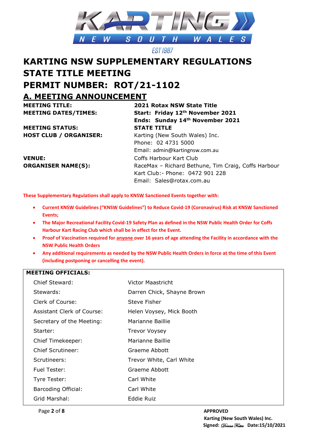

## **KARTING NSW SUPPLEMENTARY REGULATIONS STATE TITLE MEETING PERMIT NUMBER: ROT/21-1102 A. MEETING ANNOUNCEMENT**

**MEETING TITLE: 2021 Rotax NSW State Title**

**MEETING STATUS: STATE TITLE**

**VENUE:** Coffs Harbour Kart Club

**MEETING DATES/TIMES: Start: Friday 12th November 2021 Ends: Sunday 14th November 2021 HOST CLUB / ORGANISER:** Karting (New South Wales) Inc. Phone: 02 4731 5000 Email: admin@kartingnsw.com.au **ORGANISER NAME(S):** RaceMax – Richard Bethune, Tim Craig, Coffs Harbour Kart Club:- Phone: 0472 901 228 Email: Sales@rotax.com.au

**These Supplementary Regulations shall apply to KNSW Sanctioned Events together with:**

- **Current KNSW Guidelines ("KNSW Guidelines") to Reduce Covid-19 (Coronavirus) Risk at KNSW Sanctioned Events;**
- **The Major Recreational Facility Covid-19 Safety Plan as defined in the NSW Public Health Order for Coffs Harbour Kart Racing Club which shall be in effect for the Event.**
- **Proof of Vaccination required for anyone over 16 years of age attending the Facility in accordance with the NSW Public Health Orders**
- **Any additional requirements as needed by the NSW Public Health Orders in force at the time of this Event (including postponing or cancelling the event).**

#### **MEETING OFFICIALS:**

| Chief Steward:             | Victor Maastricht          |
|----------------------------|----------------------------|
| Stewards:                  | Darren Chick, Shayne Brown |
| Clerk of Course:           | Steve Fisher               |
| Assistant Clerk of Course: | Helen Voysey, Mick Booth   |
| Secretary of the Meeting:  | Marianne Baillie           |
| Starter:                   | <b>Trevor Voysey</b>       |
| Chief Timekeeper:          | Marianne Baillie           |
| Chief Scrutineer:          | Graeme Abbott              |
| Scrutineers:               | Trevor White, Carl White   |
| Fuel Tester:               | Graeme Abbott              |
| Tyre Tester:               | Carl White                 |
| <b>Barcoding Official:</b> | Carl White                 |
| Grid Marshal:              | Eddie Ruiz                 |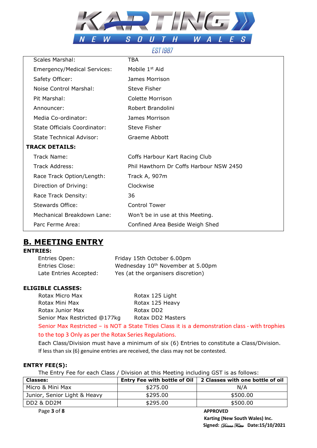

#### **EST 1987**

| <b>Scales Marshal:</b>          | <b>TBA</b>                              |
|---------------------------------|-----------------------------------------|
| Emergency/Medical Services:     | Mobile 1 <sup>st</sup> Aid              |
| Safety Officer:                 | James Morrison                          |
| Noise Control Marshal:          | Steve Fisher                            |
| Pit Marshal:                    | Colette Morrison                        |
| Announcer:                      | Robert Brandolini                       |
| Media Co-ordinator:             | James Morrison                          |
| State Officials Coordinator:    | Steve Fisher                            |
| <b>State Technical Advisor:</b> | <b>Graeme Abbott</b>                    |
| <b>TRACK DETAILS:</b>           |                                         |
| Track Name:                     | Coffs Harbour Kart Racing Club          |
| Track Address:                  | Phil Hawthorn Dr Coffs Harbour NSW 2450 |
| Race Track Option/Length:       | Track A, 907m                           |
| Direction of Driving:           | Clockwise                               |
| Race Track Density:             | 36                                      |
| Stewards Office:                | <b>Control Tower</b>                    |
| Mechanical Breakdown Lane:      | Won't be in use at this Meeting.        |
| Parc Ferme Area:                | Confined Area Beside Weigh Shed         |

### **B. MEETING ENTRY**

#### **ENTRIES:**

| Entries Open:          | Friday 15th October 6.00pm                    |
|------------------------|-----------------------------------------------|
| <b>Entries Close:</b>  | Wednesday 10 <sup>th</sup> November at 5.00pm |
| Late Entries Accepted: | Yes (at the organisers discretion)            |

#### **ELIGIBLE CLASSES:**

| Rotax Micro Max              | Rotax 125 Light                                                                                 |
|------------------------------|-------------------------------------------------------------------------------------------------|
| Rotax Mini Max               | Rotax 125 Heavy                                                                                 |
| Rotax Junior Max             | Rotax DD2                                                                                       |
| Senior Max Restricted @177kg | Rotax DD2 Masters                                                                               |
|                              | Senior Max Restricted - is NOT a State Titles Class it is a demonstration class - with trophies |
|                              |                                                                                                 |

#### to the top 3 Only as per the Rotax Series Regulations.

Each Class/Division must have a minimum of six (6) Entries to constitute a Class/Division. If less than six (6) genuine entries are received, the class may not be contested.

#### **ENTRY FEE(S):**

The Entry Fee for each Class / Division at this Meeting including GST is as follows:

| <b>Classes:</b>              | <b>Entry Fee with bottle of Oil</b> | 2 Classes with one bottle of oil |
|------------------------------|-------------------------------------|----------------------------------|
| Micro & Mini Max             | \$275.00                            | N/A                              |
| Junior, Senior Light & Heavy | \$295.00                            | \$500.00                         |
| DD2 & DD2M                   | \$295.00                            | \$500.00                         |
| Page 3 of 8                  |                                     | <b>APPROVED</b>                  |

 **Karting (New South Wales) Inc. Signed:** Donna Foster **Date:15/10/2021**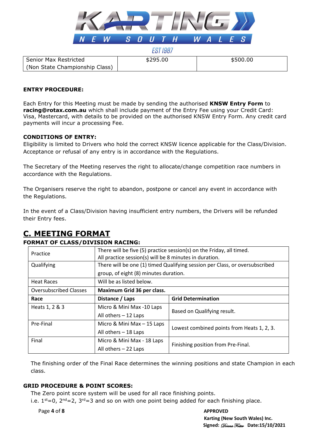

| EST 198. |  |
|----------|--|
|          |  |

#### **ENTRY PROCEDURE:**

Senior Max Restricted

(Non State Championship Class)

Each Entry for this Meeting must be made by sending the authorised **KNSW Entry Form** to **racing@rotax.com.au** which shall include payment of the Entry Fee using your Credit Card: Visa, Mastercard, with details to be provided on the authorised KNSW Entry Form. Any credit card payments will incur a processing Fee.

#### **CONDITIONS OF ENTRY:**

Eligibility is limited to Drivers who hold the correct KNSW licence applicable for the Class/Division. Acceptance or refusal of any entry is in accordance with the Regulations.

The Secretary of the Meeting reserves the right to allocate/change competition race numbers in accordance with the Regulations.

The Organisers reserve the right to abandon, postpone or cancel any event in accordance with the Regulations.

In the event of a Class/Division having insufficient entry numbers, the Drivers will be refunded their Entry fees.

## **C. MEETING FORMAT**

#### **FORMAT OF CLASS/DIVISION RACING:**

| Practice                      | There will be five (5) practice session(s) on the Friday, all timed.<br>All practice session(s) will be 8 minutes in duration. |                                            |  |
|-------------------------------|--------------------------------------------------------------------------------------------------------------------------------|--------------------------------------------|--|
| Qualifying                    | There will be one (1) timed Qualifying session per Class, or oversubscribed                                                    |                                            |  |
|                               | group, of eight (8) minutes duration.                                                                                          |                                            |  |
| <b>Heat Races</b>             | Will be as listed below.                                                                                                       |                                            |  |
| <b>Oversubscribed Classes</b> | Maximum Grid 36 per class.                                                                                                     |                                            |  |
| Race                          | Distance / Laps                                                                                                                | <b>Grid Determination</b>                  |  |
| Heats 1, 2 & 3                | Micro & Mini Max -10 Laps                                                                                                      | Based on Qualifying result.                |  |
|                               | All others - 12 Laps                                                                                                           |                                            |  |
| Pre-Final                     | Micro & Mini Max - 15 Laps                                                                                                     | Lowest combined points from Heats 1, 2, 3. |  |
|                               | All others - 18 Laps                                                                                                           |                                            |  |
| Final                         | Micro & Mini Max - 18 Laps                                                                                                     | Finishing position from Pre-Final.         |  |
|                               | All others $-22$ Laps                                                                                                          |                                            |  |

The finishing order of the Final Race determines the winning positions and state Champion in each class.

#### **GRID PROCEDURE & POINT SCORES:**

The Zero point score system will be used for all race finishing points.

i.e.  $1^{st}=0$ ,  $2^{nd}=2$ ,  $3^{rd}=3$  and so on with one point being added for each finishing place.

Page 4 of 8 APPROVED

## **Karting (New South Wales) Inc. Signed:** Donna Foster **Date:15/10/2021**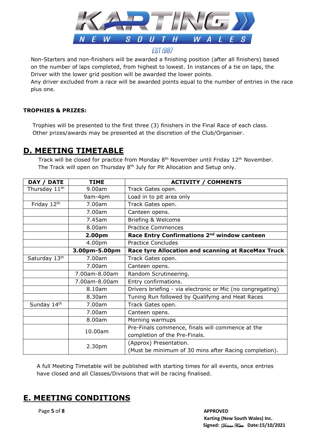

Non-Starters and non-finishers will be awarded a finishing position (after all finishers) based on the number of laps completed, from highest to lowest. In instances of a tie on laps, the Driver with the lower grid position will be awarded the lower points.

Any driver excluded from a race will be awarded points equal to the number of entries in the race plus one.

#### **TROPHIES & PRIZES:**

 Trophies will be presented to the first three (3) finishers in the Final Race of each class. Other prizes/awards may be presented at the discretion of the Club/Organiser.

#### **D. MEETING TIMETABLE**

Track will be closed for practice from Monday  $8<sup>th</sup>$  November until Friday  $12<sup>th</sup>$  November. The Track will open on Thursday 8<sup>th</sup> July for Pit Allocation and Setup only.

| <b>DATE</b><br>DAY /      | <b>TIME</b>   | <b>ACTIVITY / COMMENTS</b>                                 |
|---------------------------|---------------|------------------------------------------------------------|
| Thursday 11 <sup>th</sup> | 9.00am        | Track Gates open.                                          |
|                           | 9am-4pm       | Load in to pit area only                                   |
| Friday 12th               | 7.00am        | Track Gates open.                                          |
|                           | 7.00am        | Canteen opens.                                             |
|                           | 7.45am        | Briefing & Welcome                                         |
|                           | 8.00am        | <b>Practice Commences</b>                                  |
|                           | 2.00pm        | Race Entry Confirmations 2 <sup>nd</sup> window canteen    |
|                           | 4.00pm        | <b>Practice Concludes</b>                                  |
|                           | 3.00pm-5.00pm | Race tyre Allocation and scanning at RaceMax Truck         |
| Saturday 13th             | 7.00am        | Track Gates open.                                          |
|                           | 7.00am        | Canteen opens.                                             |
|                           | 7.00am-8.00am | Random Scrutineering.                                      |
|                           | 7.00am-8.00am | Entry confirmations.                                       |
|                           | 8.10am        | Drivers briefing - via electronic or Mic (no congregating) |
|                           | 8.30am        | Tuning Run followed by Qualifying and Heat Races           |
| Sunday 14th               | 7.00am        | Track Gates open.                                          |
|                           | 7.00am        | Canteen opens.                                             |
|                           | 8.00am        | Morning warmups                                            |
|                           | 10.00am       | Pre-Finals commence, finals will commence at the           |
|                           |               | completion of the Pre-Finals.                              |
|                           | 2.30pm        | (Approx) Presentation.                                     |
|                           |               | (Must be minimum of 30 mins after Racing completion).      |

A full Meeting Timetable will be published with starting times for all events, once entries have closed and all Classes/Divisions that will be racing finalised.

### **E. MEETING CONDITIONS**

Page **5** of **8** APPROVED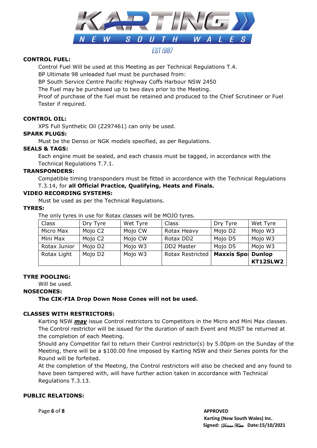

#### **CONTROL FUEL:**

Control Fuel Will be used at this Meeting as per Technical Regulations T.4.

BP Ultimate 98 unleaded fuel must be purchased from:

BP South Service Centre Pacific Highway Coffs Harbour NSW 2450

The Fuel may be purchased up to two days prior to the Meeting.

Proof of purchase of the fuel must be retained and produced to the Chief Scrutineer or Fuel Tester if required.

#### **CONTROL OIL:**

XPS Full Synthetic Oil (Z297461) can only be used.

#### **SPARK PLUGS:**

Must be the Denso or NGK models specified, as per Regulations.

#### **SEALS & TAGS:**

Each engine must be sealed, and each chassis must be tagged, in accordance with the Technical Regulations T.7.1.

#### **TRANSPONDERS:**

Compatible timing transponders must be fitted in accordance with the Technical Regulations T.3.14, for **all Official Practice, Qualifying, Heats and Finals.**

#### **VIDEO RECORDING SYSTEMS:**

Must be used as per the Technical Regulations.

#### **TYRES:**

The only tyres in use for Rotax classes will be MOJO tyres.

|              |                     |          |                         |                           | KT12SLW2 |
|--------------|---------------------|----------|-------------------------|---------------------------|----------|
| Rotax Light  | Mojo D <sub>2</sub> | Mojo W3  | <b>Rotax Restricted</b> | <b>Maxxis Spol Dunlop</b> |          |
| Rotax Junior | Mojo D <sub>2</sub> | Mojo W3  | DD2 Master              | Mojo D5                   | Mojo W3  |
| Mini Max     | Mojo C2             | Mojo CW  | Rotax DD2               | Mojo D5                   | Mojo W3  |
| Micro Max    | Mojo C2             | Mojo CW  | Rotax Heavy             | Mojo D2                   | Mojo W3  |
| Class        | Dry Tyre            | Wet Tyre | Class                   | Dry Tyre                  | Wet Tyre |

#### **TYRE POOLING:**

Will be used.

#### **NOSECONES:**

#### **The CIK-FIA Drop Down Nose Cones will not be used.**

#### **CLASSES WITH RESTRICTORS:**

Karting NSW *may* issue Control restrictors to Competitors in the Micro and Mini Max classes. The Control restrictor will be issued for the duration of each Event and MUST be returned at the completion of each Meeting.

Should any Competitor fail to return their Control restrictor(s) by 5.00pm on the Sunday of the Meeting, there will be a \$100.00 fine imposed by Karting NSW and their Series points for the Round will be forfeited.

At the completion of the Meeting, the Control restrictors will also be checked and any found to have been tampered with, will have further action taken in accordance with Technical Regulations T.3.13.

#### **PUBLIC RELATIONS:**

Page **6** of **8** APPROVED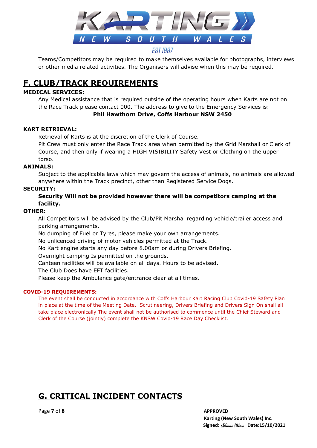

Teams/Competitors may be required to make themselves available for photographs, interviews or other media related activities. The Organisers will advise when this may be required.

## **F. CLUB/TRACK REQUIREMENTS**

#### **MEDICAL SERVICES:**

Any Medical assistance that is required outside of the operating hours when Karts are not on the Race Track please contact 000. The address to give to the Emergency Services is:

**Phil Hawthorn Drive, Coffs Harbour NSW 2450**

#### **KART RETRIEVAL:**

Retrieval of Karts is at the discretion of the Clerk of Course.

Pit Crew must only enter the Race Track area when permitted by the Grid Marshall or Clerk of Course, and then only if wearing a HIGH VISIBILITY Safety Vest or Clothing on the upper torso.

#### **ANIMALS:**

Subject to the applicable laws which may govern the access of animals, no animals are allowed anywhere within the Track precinct, other than Registered Service Dogs.

#### **SECURITY:**

#### **Security Will not be provided however there will be competitors camping at the facility.**

#### **OTHER:**

All Competitors will be advised by the Club/Pit Marshal regarding vehicle/trailer access and parking arrangements.

No dumping of Fuel or Tyres, please make your own arrangements.

No unlicenced driving of motor vehicles permitted at the Track.

No Kart engine starts any day before 8.00am or during Drivers Briefing.

Overnight camping Is permitted on the grounds.

Canteen facilities will be available on all days. Hours to be advised.

The Club Does have EFT facilities.

Please keep the Ambulance gate/entrance clear at all times.

#### **COVID-19 REQUIREMENTS:**

The event shall be conducted in accordance with Coffs Harbour Kart Racing Club Covid-19 Safety Plan in place at the time of the Meeting Date. Scrutineering, Drivers Briefing and Drivers Sign On shall all take place electronically The event shall not be authorised to commence until the Chief Steward and Clerk of the Course (jointly) complete the KNSW Covid-19 Race Day Checklist.

## **G. CRITICAL INCIDENT CONTACTS**

Page **7** of **8** APPROVED

 **Karting (New South Wales) Inc. Signed:** Donna Foster **Date:15/10/2021**